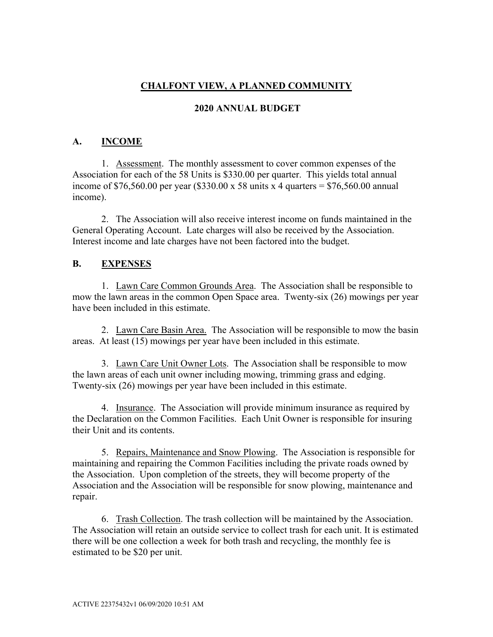# **CHALFONT VIEW, A PLANNED COMMUNITY**

## **2020 ANNUAL BUDGET**

# **A. INCOME**

1. Assessment. The monthly assessment to cover common expenses of the Association for each of the 58 Units is \$330.00 per quarter. This yields total annual income of \$76,560.00 per year (\$330.00 x 58 units x 4 quarters = \$76,560.00 annual income).

2. The Association will also receive interest income on funds maintained in the General Operating Account. Late charges will also be received by the Association. Interest income and late charges have not been factored into the budget.

#### **B. EXPENSES**

1. Lawn Care Common Grounds Area. The Association shall be responsible to mow the lawn areas in the common Open Space area. Twenty-six (26) mowings per year have been included in this estimate.

2. Lawn Care Basin Area. The Association will be responsible to mow the basin areas. At least (15) mowings per year have been included in this estimate.

3. Lawn Care Unit Owner Lots. The Association shall be responsible to mow the lawn areas of each unit owner including mowing, trimming grass and edging. Twenty-six (26) mowings per year have been included in this estimate.

4. Insurance. The Association will provide minimum insurance as required by the Declaration on the Common Facilities. Each Unit Owner is responsible for insuring their Unit and its contents.

5. Repairs, Maintenance and Snow Plowing. The Association is responsible for maintaining and repairing the Common Facilities including the private roads owned by the Association. Upon completion of the streets, they will become property of the Association and the Association will be responsible for snow plowing, maintenance and repair.

6. Trash Collection. The trash collection will be maintained by the Association. The Association will retain an outside service to collect trash for each unit. It is estimated there will be one collection a week for both trash and recycling, the monthly fee is estimated to be \$20 per unit.